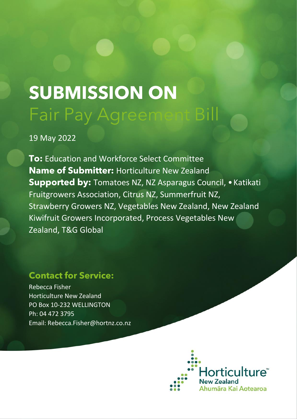## **SUBMISSION ON** Fair Pay Agreement Bill

19 May 2022

**To:** Education and Workforce Select Committee **Name of Submitter:** Horticulture New Zealand **Supported by:** Tomatoes NZ, NZ Asparagus Council, •Katikati Fruitgrowers Association, Citrus NZ, Summerfruit NZ, Strawberry Growers NZ, Vegetables New Zealand, New Zealand Kiwifruit Growers Incorporated, Process Vegetables New Zealand, T&G Global

## **Contact for Service:**

Rebecca Fisher Horticulture New Zealand PO Box 10-232 WELLINGTON Ph: 04 472 3795 Email: Rebecca.Fisher@hortnz.co.nz

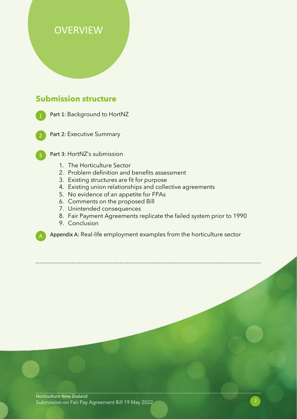## **OVERVIEW**

## **Submission structure**

Part 1: Background to HortNZ

Part 2: Executive Summary

- Part 3: HortNZ's submission
	- 1. The Horticulture Sector
	- 2. Problem definition and benefits assessment
	- 3. Existing structures are fit for purpose
	- 4. Existing union relationships and collective agreements
	- 5. No evidence of an appetite for FPAs
	- 6. Comments on the proposed Bill
	- 7. Unintended consequences
	- 8. Fair Payment Agreements replicate the failed system prior to 1990
	- 9. Conclusion

Appendix A: Real-life employment examples from the horticulture sector

Horticulture New Zealand Submission on Fair Pay Agreement Bill 19 May 2022 2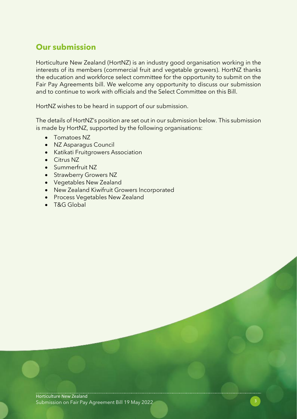## **Our submission**

Horticulture New Zealand (HortNZ) is an industry good organisation working in the interests of its members (commercial fruit and vegetable growers). HortNZ thanks the education and workforce select committee for the opportunity to submit on the Fair Pay Agreements bill. We welcome any opportunity to discuss our submission and to continue to work with officials and the Select Committee on this Bill.

HortNZ wishes to be heard in support of our submission.

The details of HortNZ's position are set out in our submission below. This submission is made by HortNZ, supported by the following organisations:

- Tomatoes NZ
- NZ Asparagus Council
- Katikati Fruitgrowers Association
- Citrus NZ
- Summerfruit NZ
- Strawberry Growers NZ
- Vegetables New Zealand
- New Zealand Kiwifruit Growers Incorporated
- Process Vegetables New Zealand
- T&G Global

Horticulture New Zealand Submission on Fair Pay Agreement Bill 19 May 2022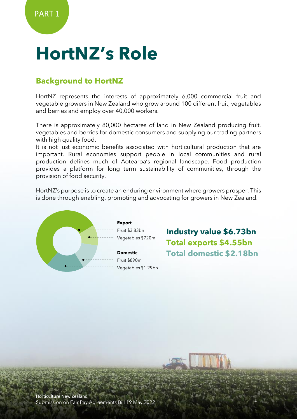## **HortNZ's Role**

## **Background to HortNZ**

HortNZ represents the interests of approximately 6,000 commercial fruit and vegetable growers in New Zealand who grow around 100 different fruit, vegetables and berries and employ over 40,000 workers.

There is approximately 80,000 hectares of land in New Zealand producing fruit, vegetables and berries for domestic consumers and supplying our trading partners with high quality food.

It is not just economic benefits associated with horticultural production that are important. Rural economies support people in local communities and rural production defines much of Aotearoa's regional landscape. Food production provides a platform for long term sustainability of communities, through the provision of food security.

HortNZ's purpose is to create an enduring environment where growers prosper. This is done through enabling, promoting and advocating for growers in New Zealand.



**Industry value \$6.73bn Total exports \$4.55bn Total domestic \$2.18bn**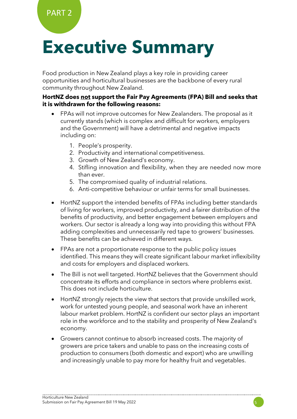# **Executive Summary**

Food production in New Zealand plays a key role in providing career opportunities and horticultural businesses are the backbone of every rural community throughout New Zealand.

#### **HortNZ does not support the Fair Pay Agreements (FPA) Bill and seeks that it is withdrawn for the following reasons:**

- FPAs will not improve outcomes for New Zealanders. The proposal as it currently stands (which is complex and difficult for workers, employers and the Government) will have a detrimental and negative impacts including on:
	- 1. People's prosperity.
	- 2. Productivity and international competitiveness.
	- 3. Growth of New Zealand's economy.
	- 4. Stifling innovation and flexibility, when they are needed now more than ever.
	- 5. The compromised quality of industrial relations.
	- 6. Anti-competitive behaviour or unfair terms for small businesses.
- HortNZ support the intended benefits of FPAs including better standards of living for workers, improved productivity, and a fairer distribution of the benefits of productivity, and better engagement between employers and workers. Our sector is already a long way into providing this without FPA adding complexities and unnecessarily red tape to growers' businesses. These benefits can be achieved in different ways.
- FPAs are not a proportionate response to the public policy issues identified. This means they will create significant labour market inflexibility and costs for employers and displaced workers.
- The Bill is not well targeted. HortNZ believes that the Government should concentrate its efforts and compliance in sectors where problems exist. This does not include horticulture.
- HortNZ strongly rejects the view that sectors that provide unskilled work, work for untested young people, and seasonal work have an inherent labour market problem. HortNZ is confident our sector plays an important role in the workforce and to the stability and prosperity of New Zealand's economy.
- Growers cannot continue to absorb increased costs. The majority of growers are price takers and unable to pass on the increasing costs of production to consumers (both domestic and export) who are unwilling and increasingly unable to pay more for healthy fruit and vegetables.

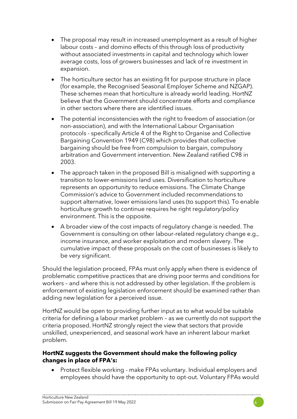- The proposal may result in increased unemployment as a result of higher labour costs – and domino effects of this through loss of productivity without associated investments in capital and technology which lower average costs, loss of growers businesses and lack of re investment in expansion.
- The horticulture sector has an existing fit for purpose structure in place (for example, the Recognised Seasonal Employer Scheme and NZGAP). These schemes mean that horticulture is already world leading. HortNZ believe that the Government should concentrate efforts and compliance in other sectors where there are identified issues.
- The potential inconsistencies with the right to freedom of association (or non-association), and with the International Labour Organisation protocols - specifically Article 4 of the Right to Organise and Collective Bargaining Convention 1949 (C98) which provides that collective bargaining should be free from compulsion to bargain, compulsory arbitration and Government intervention. New Zealand ratified C98 in 2003.
- The approach taken in the proposed Bill is misaligned with supporting a transition to lower-emissions land uses. Diversification to horticulture represents an opportunity to reduce emissions. The Climate Change Commission's advice to Government included recommendations to support alternative, lower emissions land uses (to support this). To enable horticulture growth to continue requires he right regulatory/policy environment. This is the opposite.
- A broader view of the cost impacts of regulatory change is needed. The Government is consulting on other labour-related regulatory change e.g., income insurance, and worker exploitation and modern slavery. The cumulative impact of these proposals on the cost of businesses is likely to be very significant.

Should the legislation proceed, FPAs must only apply when there is evidence of problematic competitive practices that are driving poor terms and conditions for workers – and where this is not addressed by other legislation. If the problem is enforcement of existing legislation enforcement should be examined rather than adding new legislation for a perceived issue.

HortNZ would be open to providing further input as to what would be suitable criteria for defining a labour market problem – as we currently do not support the criteria proposed. HortNZ strongly reject the view that sectors that provide unskilled, unexperienced, and seasonal work have an inherent labour market problem.

#### **HortNZ suggests the Government should make the following policy changes in place of FPA's:**

• Protect flexible working - make FPAs voluntary. Individual employers and employees should have the opportunity to opt-out. Voluntary FPAs would

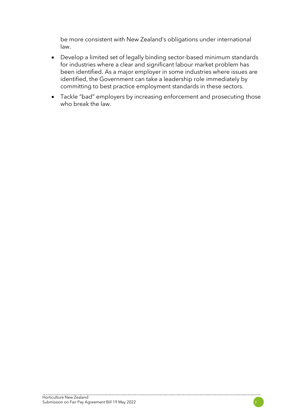be more consistent with New Zealand's obligations under international law.

- Develop a limited set of legally binding sector-based minimum standards for industries where a clear and significant labour market problem has been identified. As a major employer in some industries where issues are identified, the Government can take a leadership role immediately by committing to best practice employment standards in these sectors.
- Tackle "bad" employers by increasing enforcement and prosecuting those who break the law.

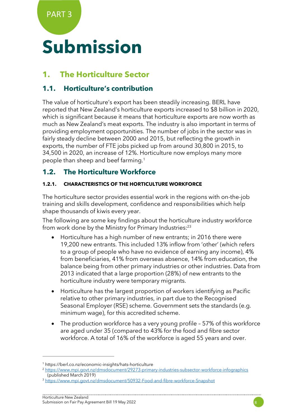PART 3

# **Submission**

## **1. The Horticulture Sector**

### **1.1. Horticulture's contribution**

The value of horticulture's export has been steadily increasing. BERL have reported that New Zealand's horticulture exports increased to \$8 billion in 2020, which is significant because it means that horticulture exports are now worth as much as New Zealand's meat exports. The industry is also important in terms of providing employment opportunities. The number of jobs in the sector was in fairly steady decline between 2000 and 2015, but reflecting the growth in exports, the number of FTE jobs picked up from around 30,800 in 2015, to 34,500 in 2020, an increase of 12%. Horticulture now employs many more people than sheep and beef farming.<sup>1</sup>

### **1.2. The Horticulture Workforce**

#### **1.2.1. CHARACTERISTICS OF THE HORTICULTURE WORKFORCE**

The horticulture sector provides essential work in the regions with on-the-job training and skills development, confidence and responsibilities which help shape thousands of kiwis every year.

The following are some key findings about the horticulture industry workforce from work done by the Ministry for Primary Industries:<sup>23</sup>

- Horticulture has a high number of new entrants; in 2016 there were 19,200 new entrants. This included 13% inflow from 'other' (which refers to a group of people who have no evidence of earning any income), 4% from beneficiaries, 41% from overseas absence, 14% from education, the balance being from other primary industries or other industries. Data from 2013 indicated that a large proportion (28%) of new entrants to the horticulture industry were temporary migrants.
- Horticulture has the largest proportion of workers identifying as Pacific relative to other primary industries, in part due to the Recognised Seasonal Employer (RSE) scheme. Government sets the standards (e.g. minimum wage), for this accredited scheme.
- The production workforce has a very young profile 57% of this workforce are aged under 35 (compared to 43% for the food and fibre sector workforce. A total of 16% of the workforce is aged 55 years and over.



<sup>1</sup> https://berl.co.nz/economic-insights/hats-horticulture

<sup>2</sup> <https://www.mpi.govt.nz/dmsdocument/29273-primary-industries-subsector-workforce-infographics> (published March 2019)

<sup>&</sup>lt;sup>3</sup> <https://www.mpi.govt.nz/dmsdocument/50932-Food-and-fibre-workforce-Snapshot>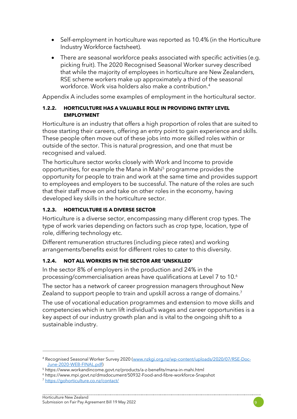- Self-employment in horticulture was reported as 10.4% (in the Horticulture Industry Workforce factsheet).
- There are seasonal workforce peaks associated with specific activities (e.g. picking fruit). The 2020 Recognised Seasonal Worker survey described that while the majority of employees in horticulture are New Zealanders, RSE scheme workers make up approximately a third of the seasonal workforce. Work visa holders also make a contribution. 4

Appendix A includes some examples of employment in the horticultural sector.

#### **1.2.2. HORTICULTURE HAS A VALUABLE ROLE IN PROVIDING ENTRY LEVEL EMPLOYMENT**

Horticulture is an industry that offers a high proportion of roles that are suited to those starting their careers, offering an entry point to gain experience and skills. These people often move out of these jobs into more skilled roles within or outside of the sector. This is natural progression, and one that must be recognised and valued.

The horticulture sector works closely with Work and Income to provide opportunities, for example the Mana in Mahi<sup>5</sup> programme provides the opportunity for people to train and work at the same time and provides support to employees and employers to be successful. The nature of the roles are such that their staff move on and take on other roles in the economy, having developed key skills in the horticulture sector.

#### **1.2.3. HORTICULTURE IS A DIVERSE SECTOR**

Horticulture is a diverse sector, encompassing many different crop types. The type of work varies depending on factors such as crop type, location, type of role, differing technology etc.

Different remuneration structures (including piece rates) and working arrangements/benefits exist for different roles to cater to this diversity.

#### **1.2.4. NOT ALL WORKERS IN THE SECTOR ARE 'UNSKILLED'**

In the sector 8% of employers in the production and 24% in the processing/commercialisation areas have qualifications at Level 7 to 10.6

The sector has a network of career progression managers throughout New Zealand to support people to train and upskill across a range of domains.<sup>7</sup>

The use of vocational education programmes and extension to move skills and competencies which in turn lift individual's wages and career opportunities is a key aspect of our industry growth plan and is vital to the ongoing shift to a sustainable industry.



<sup>4</sup> Recognised Seasonal Worker Survey 2020 [\(www.nzkgi.org.nz/wp-content/uploads/2020/07/RSE-Doc-](http://www.nzkgi.org.nz/wp-content/uploads/2020/07/RSE-Doc-June-2020-WEB-FINAL.pdf)[June-2020-WEB-FINAL.pdf\)](http://www.nzkgi.org.nz/wp-content/uploads/2020/07/RSE-Doc-June-2020-WEB-FINAL.pdf)

<sup>5</sup> https://www.workandincome.govt.nz/products/a-z-benefits/mana-in-mahi.html

<sup>6</sup> https://www.mpi.govt.nz/dmsdocument/50932-Food-and-fibre-workforce-Snapshot

<sup>7</sup> <https://gohorticulture.co.nz/contact/>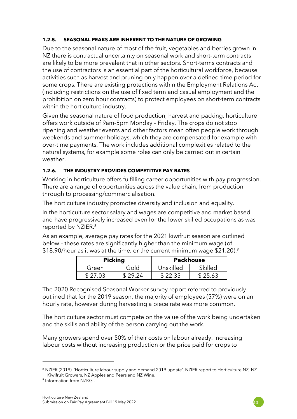#### **1.2.5. SEASONAL PEAKS ARE INHERENT TO THE NATURE OF GROWING**

Due to the seasonal nature of most of the fruit, vegetables and berries grown in NZ there is contractual uncertainty on seasonal work and short-term contracts are likely to be more prevalent that in other sectors. Short-terms contracts and the use of contractors is an essential part of the horticultural workforce, because activities such as harvest and pruning only happen over a defined time period for some crops. There are existing protections within the Employment Relations Act (including restrictions on the use of fixed term and casual employment and the prohibition on zero hour contracts) to protect employees on short-term contracts within the horticulture industry.

Given the seasonal nature of food production, harvest and packing, horticulture offers work outside of 9am-5pm Monday – Friday. The crops do not stop ripening and weather events and other factors mean often people work through weekends and summer holidays, which they are compensated for example with over-time payments. The work includes additional complexities related to the natural systems, for example some roles can only be carried out in certain weather.

#### **1.2.6. THE INDUSTRY PROVIDES COMPETITIVE PAY RATES**

Working in horticulture offers fulfilling career opportunities with pay progression. There are a range of opportunities across the value chain, from production through to processing/commercialisation.

The horticulture industry promotes diversity and inclusion and equality.

In the horticulture sector salary and wages are competitive and market based and have progressively increased even for the lower skilled occupations as was reported by NZIER. 8

As an example, average pay rates for the 2021 kiwifruit season are outlined below – these rates are significantly higher than the minimum wage (of \$18.90/hour as it was at the time, or the current minimum wage  $$21.20$ ).<sup>9</sup>

| <b>Pickina</b> |      | <b>Packhouse</b> |         |
|----------------|------|------------------|---------|
| Green          | hlof | Unskilled        | Skilled |
| \$ 27 03       |      | \$22.35          | 25.63   |

The 2020 Recognised Seasonal Worker survey report referred to previously outlined that for the 2019 season, the majority of employees (57%) were on an hourly rate, however during harvesting a piece rate was more common.

The horticulture sector must compete on the value of the work being undertaken and the skills and ability of the person carrying out the work.

Many growers spend over 50% of their costs on labour already. Increasing labour costs without increasing production or the price paid for crops to

<sup>8</sup> NZIER (2019). 'Horticulture labour supply and demand 2019 update'. NZIER report to Horticulture NZ, NZ Kiwifruit Growers, NZ Apples and Pears and NZ Wine.

<sup>9</sup> Information from NZKGI.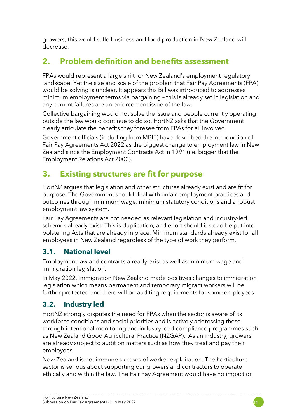growers, this would stifle business and food production in New Zealand will decrease.

## **2. Problem definition and benefits assessment**

FPAs would represent a large shift for New Zealand's employment regulatory landscape. Yet the size and scale of the problem that Fair Pay Agreements (FPA) would be solving is unclear. It appears this Bill was introduced to addresses minimum employment terms via bargaining – this is already set in legislation and any current failures are an enforcement issue of the law.

Collective bargaining would not solve the issue and people currently operating outside the law would continue to do so. HortNZ asks that the Government clearly articulate the benefits they foresee from FPAs for all involved.

Government officials (including from MBIE) have described the introduction of Fair Pay Agreements Act 2022 as the biggest change to employment law in New Zealand since the Employment Contracts Act in 1991 (i.e. bigger that the Employment Relations Act 2000).

## **3. Existing structures are fit for purpose**

HortNZ argues that legislation and other structures already exist and are fit for purpose. The Government should deal with unfair employment practices and outcomes through minimum wage, minimum statutory conditions and a robust employment law system.

Fair Pay Agreements are not needed as relevant legislation and industry-led schemes already exist. This is duplication, and effort should instead be put into bolstering Acts that are already in place. Minimum standards already exist for all employees in New Zealand regardless of the type of work they perform.

## **3.1. National level**

Employment law and contracts already exist as well as minimum wage and immigration legislation.

In May 2022, Immigration New Zealand made positives changes to immigration legislation which means permanent and temporary migrant workers will be further protected and there will be auditing requirements for some employees.

## **3.2. Industry led**

HortNZ strongly disputes the need for FPAs when the sector is aware of its workforce conditions and social priorities and is actively addressing these through intentional monitoring and industry lead compliance programmes such as New Zealand Good Agricultural Practice (NZGAP). As an industry, growers are already subject to audit on matters such as how they treat and pay their employees.

New Zealand is not immune to cases of worker exploitation. The horticulture sector is serious about supporting our growers and contractors to operate ethically and within the law. The Fair Pay Agreement would have no impact on

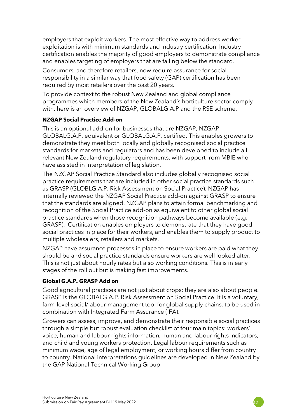employers that exploit workers. The most effective way to address worker exploitation is with minimum standards and industry certification. Industry certification enables the majority of good employers to demonstrate compliance and enables targeting of employers that are falling below the standard.

Consumers, and therefore retailers, now require assurance for social responsibility in a similar way that food safety (GAP) certification has been required by most retailers over the past 20 years.

To provide context to the robust New Zealand and global compliance programmes which members of the New Zealand's horticulture sector comply with, here is an overview of NZGAP, GLOBALG.A.P and the RSE scheme.

#### **NZGAP Social Practice Add-on**

This is an optional add-on for businesses that are NZGAP, NZGAP GLOBALG.A.P. equivalent or GLOBALG.A.P. certified. This enables growers to demonstrate they meet both locally and globally recognised social practice standards for markets and regulators and has been developed to include all relevant New Zealand regulatory requirements, with support from MBIE who have assisted in interpretation of legislation.

The NZGAP Social Practice Standard also includes globally recognised social practice requirements that are included in other social practice standards such as GRASP (GLOBLG.A.P. Risk Assessment on Social Practice). NZGAP has internally reviewed the NZGAP Social Practice add-on against GRASP to ensure that the standards are aligned. NZGAP plans to attain formal benchmarking and recognition of the Social Practice add-on as equivalent to other global social practice standards when those recognition pathways become available (e.g. GRASP). Certification enables employers to demonstrate that they have good social practices in place for their workers, and enables them to supply product to multiple wholesalers, retailers and markets.

NZGAP have assurance processes in place to ensure workers are paid what they should be and social practice standards ensure workers are well looked after. This is not just about hourly rates but also working conditions. This is in early stages of the roll out but is making fast improvements.

#### **Global G.A.P. GRASP Add on**

Good agricultural practices are not just about crops; they are also about people. GRASP is the GLOBALG.A.P. Risk Assessment on Social Practice. It is a voluntary, farm-level social/labour management tool for global supply chains, to be used in combination with Integrated Farm Assurance (IFA).

Growers can assess, improve, and demonstrate their responsible social practices through a simple but robust evaluation checklist of four main topics: workers' voice, human and labour rights information, human and labour rights indicators, and child and young workers protection. Legal labour requirements such as minimum wage, age of legal employment, or working hours differ from country to country. National interpretations guidelines are developed in New Zealand by the GAP National Technical Working Group.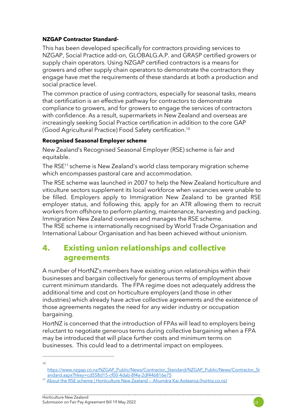#### **NZGAP Contractor Standard-**

This has been developed specifically for contractors providing services to NZGAP, Social Practice add-on, GLOBALG.A.P. and GRASP certified growers or supply chain operators. Using NZGAP certified contractors is a means for growers and other supply chain operators to demonstrate the contractors they engage have met the requirements of these standards at both a production and social practice level.

The common practice of using contractors, especially for seasonal tasks, means that certification is an effective pathway for contractors to demonstrate compliance to growers, and for growers to engage the services of contractors with confidence. As a result, supermarkets in New Zealand and overseas are increasingly seeking Social Practice certification in addition to the core GAP (Good Agricultural Practice) Food Safety certification. 10

#### **Recognised Seasonal Employer scheme**

New Zealand's Recognised Seasonal Employer (RSE) scheme is fair and equitable.

The RSE<sup>11</sup> scheme is New Zealand's world class temporary migration scheme which encompasses pastoral care and accommodation.

The RSE scheme was launched in 2007 to help the New Zealand horticulture and viticulture sectors supplement its local workforce when vacancies were unable to be filled. Employers apply to Immigration New Zealand to be granted RSE employer status, and following this, apply for an ATR allowing them to recruit workers from offshore to perform planting, maintenance, harvesting and packing. Immigration New Zealand oversees and manages the RSE scheme.

The RSE scheme is internationally recognised by World Trade Organisation and International Labour Organisation and has been achieved without unionism.

## **4. Existing union relationships and collective agreements**

A number of HortNZ's members have existing union relationships within their businesses and bargain collectively for generous terms of employment above current minimum standards. The FPA regime does not adequately address the additional time and cost on horticulture employers (and those in other industries) which already have active collective agreements and the existence of those agreements negates the need for any wider industry or occupation bargaining.

HortNZ is concerned that the introduction of FPAs will lead to employers being reluctant to negotiate generous terms during collective bargaining when a FPA may be introduced that will place further costs and minimum terms on businesses. This could lead to a detrimental impact on employees.

<sup>10</sup>

[https://www.nzgap.co.nz/NZGAP\\_Public/News/Contractor\\_Standard/NZGAP\\_Public/News/Contractor\\_St](https://www.nzgap.co.nz/NZGAP_Public/News/Contractor_Standard/NZGAP_Public/News/Contractor_Standard.aspx?hkey=cd558d15-cf00-4dab-8f4a-2df446816e75) [andard.aspx?hkey=cd558d15-cf00-4dab-8f4a-2df446816e75](https://www.nzgap.co.nz/NZGAP_Public/News/Contractor_Standard/NZGAP_Public/News/Contractor_Standard.aspx?hkey=cd558d15-cf00-4dab-8f4a-2df446816e75)

<sup>11</sup> [About the RSE scheme | Horticulture New Zealand](https://www.hortnz.co.nz/people-jobs-and-labour/rse-scheme/?msclkid=06864881d0ce11ec908ff867bc193258) — Ahumāra Kai Aotearoa (hortnz.co.nz)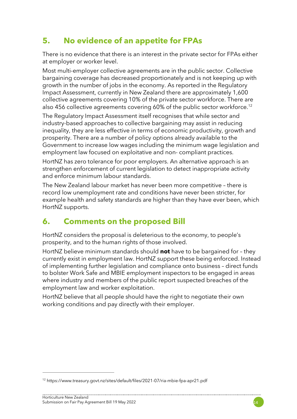## **5. No evidence of an appetite for FPAs**

There is no evidence that there is an interest in the private sector for FPAs either at employer or worker level.

Most multi-employer collective agreements are in the public sector. Collective bargaining coverage has decreased proportionately and is not keeping up with growth in the number of jobs in the economy. As reported in the Regulatory Impact Assessment, currently in New Zealand there are approximately 1,600 collective agreements covering 10% of the private sector workforce. There are also 456 collective agreements covering 60% of the public sector workforce.<sup>12</sup>

The Regulatory Impact Assessment itself recognises that while sector and industry-based approaches to collective bargaining may assist in reducing inequality, they are less effective in terms of economic productivity, growth and prosperity. There are a number of policy options already available to the Government to increase low wages including the minimum wage legislation and employment law focused on exploitative and non- compliant practices.

HortNZ has zero tolerance for poor employers. An alternative approach is an strengthen enforcement of current legislation to detect inappropriate activity and enforce minimum labour standards.

The New Zealand labour market has never been more competitive – there is record low unemployment rate and conditions have never been stricter, for example health and safety standards are higher than they have ever been, which HortNZ supports.

## **6. Comments on the proposed Bill**

HortNZ considers the proposal is deleterious to the economy, to people's prosperity, and to the human rights of those involved.

HortNZ believe minimum standards should **not** have to be bargained for – they currently exist in employment law. HortNZ support these being enforced. Instead of implementing further legislation and compliance onto business – direct funds to bolster Work Safe and MBIE employment inspectors to be engaged in areas where industry and members of the public report suspected breaches of the employment law and worker exploitation.

HortNZ believe that all people should have the right to negotiate their own working conditions and pay directly with their employer.



<sup>12</sup> https://www.treasury.govt.nz/sites/default/files/2021-07/ria-mbie-fpa-apr21.pdf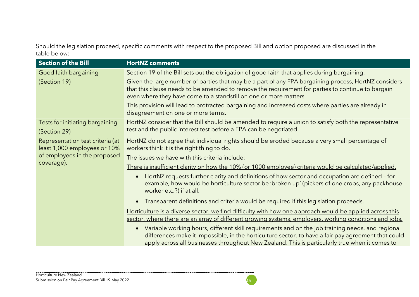Should the legislation proceed, specific comments with respect to the proposed Bill and option proposed are discussed in the table below:

| <b>Section of the Bill</b>                                                                                     | <b>HortNZ comments</b>                                                                                                                                                                                                                                                                                                 |
|----------------------------------------------------------------------------------------------------------------|------------------------------------------------------------------------------------------------------------------------------------------------------------------------------------------------------------------------------------------------------------------------------------------------------------------------|
| Good faith bargaining                                                                                          | Section 19 of the Bill sets out the obligation of good faith that applies during bargaining.                                                                                                                                                                                                                           |
| (Section 19)                                                                                                   | Given the large number of parties that may be a part of any FPA bargaining process, HortNZ considers<br>that this clause needs to be amended to remove the requirement for parties to continue to bargain<br>even where they have come to a standstill on one or more matters.                                         |
|                                                                                                                | This provision will lead to protracted bargaining and increased costs where parties are already in<br>disagreement on one or more terms.                                                                                                                                                                               |
| Tests for initiating bargaining                                                                                | HortNZ consider that the Bill should be amended to require a union to satisfy both the representative                                                                                                                                                                                                                  |
| (Section 29)                                                                                                   | test and the public interest test before a FPA can be negotiated.                                                                                                                                                                                                                                                      |
| Representation test criteria (at<br>least 1,000 employees or 10%<br>of employees in the proposed<br>coverage). | HortNZ do not agree that individual rights should be eroded because a very small percentage of<br>workers think it is the right thing to do.                                                                                                                                                                           |
|                                                                                                                | The issues we have with this criteria include:                                                                                                                                                                                                                                                                         |
|                                                                                                                | There is insufficient clarity on how the 10% (or 1000 employee) criteria would be calculated/applied.                                                                                                                                                                                                                  |
|                                                                                                                | HortNZ requests further clarity and definitions of how sector and occupation are defined - for<br>$\bullet$<br>example, how would be horticulture sector be 'broken up' (pickers of one crops, any packhouse<br>worker etc.?) if at all.                                                                               |
|                                                                                                                | Transparent definitions and criteria would be required if this legislation proceeds.<br>$\bullet$                                                                                                                                                                                                                      |
|                                                                                                                | Horticulture is a diverse sector, we find difficulty with how one approach would be applied across this<br>sector, where there are an array of different growing systems, employers, working conditions and jobs.                                                                                                      |
|                                                                                                                | Variable working hours, different skill requirements and on the job training needs, and regional<br>$\bullet$<br>differences make it impossible, in the horticulture sector, to have a fair pay agreement that could<br>apply across all businesses throughout New Zealand. This is particularly true when it comes to |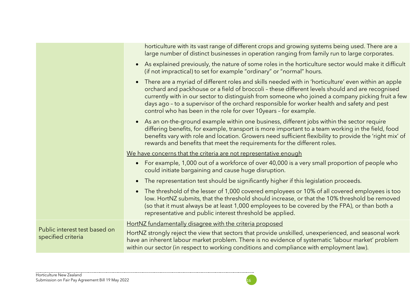|                                                     | horticulture with its vast range of different crops and growing systems being used. There are a<br>large number of distinct businesses in operation ranging from family run to large corporates.                                                                                                                                                                                                                                                                                  |
|-----------------------------------------------------|-----------------------------------------------------------------------------------------------------------------------------------------------------------------------------------------------------------------------------------------------------------------------------------------------------------------------------------------------------------------------------------------------------------------------------------------------------------------------------------|
|                                                     | As explained previously, the nature of some roles in the horticulture sector would make it difficult<br>$\bullet$<br>(if not impractical) to set for example "ordinary" or "normal" hours.                                                                                                                                                                                                                                                                                        |
|                                                     | • There are a myriad of different roles and skills needed with in 'horticulture' even within an apple<br>orchard and packhouse or a field of broccoli - these different levels should and are recognised<br>currently with in our sector to distinguish from someone who joined a company picking fruit a few<br>days ago - to a supervisor of the orchard responsible for worker health and safety and pest<br>control who has been in the role for over 10 years - for example. |
|                                                     | As an on-the-ground example within one business, different jobs within the sector require<br>$\bullet$<br>differing benefits, for example, transport is more important to a team working in the field, food<br>benefits vary with role and location. Growers need sufficient flexibility to provide the 'right mix' of<br>rewards and benefits that meet the requirements for the different roles.                                                                                |
|                                                     | We have concerns that the criteria are not representative enough                                                                                                                                                                                                                                                                                                                                                                                                                  |
|                                                     | For example, 1,000 out of a workforce of over 40,000 is a very small proportion of people who<br>$\bullet$<br>could initiate bargaining and cause huge disruption.                                                                                                                                                                                                                                                                                                                |
|                                                     | The representation test should be significantly higher if this legislation proceeds.<br>$\bullet$                                                                                                                                                                                                                                                                                                                                                                                 |
|                                                     | The threshold of the lesser of 1,000 covered employees or 10% of all covered employees is too<br>$\bullet$<br>low. HortNZ submits, that the threshold should increase, or that the 10% threshold be removed<br>(so that it must always be at least 1,000 employees to be covered by the FPA), or than both a<br>representative and public interest threshold be applied.                                                                                                          |
| Public interest test based on<br>specified criteria | HortNZ fundamentally disagree with the criteria proposed                                                                                                                                                                                                                                                                                                                                                                                                                          |
|                                                     | HortNZ strongly reject the view that sectors that provide unskilled, unexperienced, and seasonal work<br>have an inherent labour market problem. There is no evidence of systematic 'labour market' problem<br>within our sector (in respect to working conditions and compliance with employment law).                                                                                                                                                                           |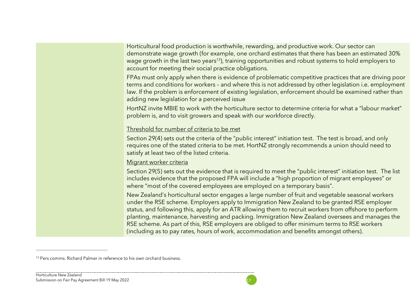Horticultural food production is worthwhile, rewarding, and productive work. Our sector can demonstrate wage growth (for example, one orchard estimates that there has been an estimated 30% wage growth in the last two years<sup>13</sup>), training opportunities and robust systems to hold employers to account for meeting their social practice obligations.

FPAs must only apply when there is evidence of problematic competitive practices that are driving poor terms and conditions for workers – and where this is not addressed by other legislation i.e. employment law. If the problem is enforcement of existing legislation, enforcement should be examined rather than adding new legislation for a perceived issue

HortNZ invite MBIE to work with the horticulture sector to determine criteria for what a "labour market" problem is, and to visit growers and speak with our workforce directly.

#### Threshold for number of criteria to be met

Section 29(4) sets out the criteria of the "public interest" initiation test. The test is broad, and only requires one of the stated criteria to be met. HortNZ strongly recommends a union should need to satisfy at least two of the listed criteria.

#### Migrant worker criteria

Section 29(5) sets out the evidence that is required to meet the "public interest" initiation test. The list includes evidence that the proposed FPA will include a "high proportion of migrant employees" or where "most of the covered employees are employed on a temporary basis".

New Zealand's horticultural sector engages a large number of fruit and vegetable seasonal workers under the RSE scheme. Employers apply to Immigration New Zealand to be granted RSE employer status, and following this, apply for an ATR allowing them to recruit workers from offshore to perform planting, maintenance, harvesting and packing. Immigration New Zealand oversees and manages the RSE scheme. As part of this, RSE employers are obliged to offer minimum terms to RSE workers (including as to pay rates, hours of work, accommodation and benefits amongst others).

<sup>&</sup>lt;sup>13</sup> Pers comms. Richard Palmer in reference to his own orchard business.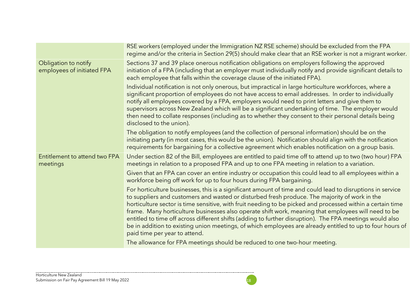|                                                    | RSE workers (employed under the Immigration NZ RSE scheme) should be excluded from the FPA<br>regime and/or the criteria in Section 29(5) should make clear that an RSE worker is not a migrant worker.                                                                                                                                                                                                                                                                                                                                                                                                                                                                                    |
|----------------------------------------------------|--------------------------------------------------------------------------------------------------------------------------------------------------------------------------------------------------------------------------------------------------------------------------------------------------------------------------------------------------------------------------------------------------------------------------------------------------------------------------------------------------------------------------------------------------------------------------------------------------------------------------------------------------------------------------------------------|
| Obligation to notify<br>employees of initiated FPA | Sections 37 and 39 place onerous notification obligations on employers following the approved<br>initiation of a FPA (including that an employer must individually notify and provide significant details to<br>each employee that falls within the coverage clause of the initiated FPA).                                                                                                                                                                                                                                                                                                                                                                                                 |
|                                                    | Individual notification is not only onerous, but impractical in large horticulture workforces, where a<br>significant proportion of employees do not have access to email addresses. In order to individually<br>notify all employees covered by a FPA, employers would need to print letters and give them to<br>supervisors across New Zealand which will be a significant undertaking of time. The employer would<br>then need to collate responses (including as to whether they consent to their personal details being<br>disclosed to the union).                                                                                                                                   |
|                                                    | The obligation to notify employees (and the collection of personal information) should be on the<br>initiating party (in most cases, this would be the union). Notification should align with the notification<br>requirements for bargaining for a collective agreement which enables notification on a group basis.                                                                                                                                                                                                                                                                                                                                                                      |
| Entitlement to attend two FPA<br>meetings          | Under section 82 of the Bill, employees are entitled to paid time off to attend up to two (two hour) FPA<br>meetings in relation to a proposed FPA and up to one FPA meeting in relation to a variation.                                                                                                                                                                                                                                                                                                                                                                                                                                                                                   |
|                                                    | Given that an FPA can cover an entire industry or occupation this could lead to all employees within a<br>workforce being off work for up to four hours during FPA bargaining.                                                                                                                                                                                                                                                                                                                                                                                                                                                                                                             |
|                                                    | For horticulture businesses, this is a significant amount of time and could lead to disruptions in service<br>to suppliers and customers and wasted or disturbed fresh produce. The majority of work in the<br>horticulture sector is time sensitive, with fruit needing to be picked and processed within a certain time<br>frame. Many horticulture businesses also operate shift work, meaning that employees will need to be<br>entitled to time off across different shifts (adding to further disruption). The FPA meetings would also<br>be in addition to existing union meetings, of which employees are already entitled to up to four hours of<br>paid time per year to attend. |
|                                                    | The allowance for FPA meetings should be reduced to one two-hour meeting.                                                                                                                                                                                                                                                                                                                                                                                                                                                                                                                                                                                                                  |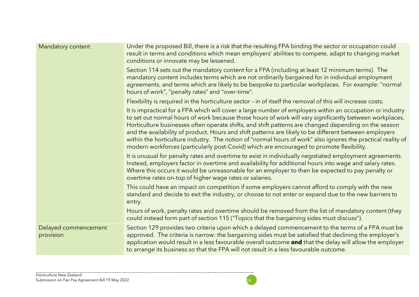| Mandatory content                 | Under the proposed Bill, there is a risk that the resulting FPA binding the sector or occupation could<br>result in terms and conditions which mean employers' abilities to compete, adapt to changing market<br>conditions or innovate may be lessened.                                                                                                                                                                                                                                                                                                                                                                                           |
|-----------------------------------|----------------------------------------------------------------------------------------------------------------------------------------------------------------------------------------------------------------------------------------------------------------------------------------------------------------------------------------------------------------------------------------------------------------------------------------------------------------------------------------------------------------------------------------------------------------------------------------------------------------------------------------------------|
|                                   | Section 114 sets out the mandatory content for a FPA (including at least 12 minimum terms). The<br>mandatory content includes terms which are not ordinarily bargained for in individual employment<br>agreements, and terms which are likely to be bespoke to particular workplaces. For example: "normal<br>hours of work", "penalty rates" and "over-time".                                                                                                                                                                                                                                                                                     |
|                                   | Flexibility is required in the horticulture sector - in of itself the removal of this will increase costs.                                                                                                                                                                                                                                                                                                                                                                                                                                                                                                                                         |
|                                   | It is impractical for a FPA which will cover a large number of employers within an occupation or industry<br>to set out normal hours of work because those hours of work will vary significantly between workplaces.<br>Horticulture businesses often operate shifts, and shift patterns are changed depending on the season<br>and the availability of product. Hours and shift patterns are likely to be different between employers<br>within the horticulture industry. The notion of "normal hours of work" also ignores the practical reality of<br>modern workforces (particularly post-Covid) which are encouraged to promote flexibility. |
|                                   | It is unusual for penalty rates and overtime to exist in individually negotiated employment agreements.<br>Instead, employers factor in overtime and availability for additional hours into wage and salary rates.<br>Where this occurs it would be unreasonable for an employer to then be expected to pay penalty or<br>overtime rates on-top of higher wage rates or salaries.                                                                                                                                                                                                                                                                  |
|                                   | This could have an impact on competition if some employers cannot afford to comply with the new<br>standard and decide to exit the industry, or choose to not enter or expand due to the new barriers to<br>entry.                                                                                                                                                                                                                                                                                                                                                                                                                                 |
|                                   | Hours of work, penalty rates and overtime should be removed from the list of mandatory content (they<br>could instead form part of section 115 ("Topics that the bargaining sides must discuss").                                                                                                                                                                                                                                                                                                                                                                                                                                                  |
| Delayed commencement<br>provision | Section 129 provides two criteria upon which a delayed commencement to the terms of a FPA must be<br>approved. The criteria is narrow: the bargaining sides must be satisfied that declining the employer's<br>application would result in a less favourable overall outcome and that the delay will allow the employer<br>to arrange its business so that the FPA will not result in a less favourable outcome.                                                                                                                                                                                                                                   |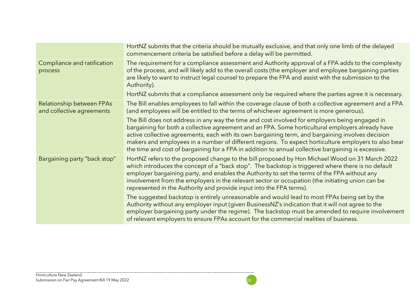|                                                               | HortNZ submits that the criteria should be mutually exclusive, and that only one limb of the delayed<br>commencement criteria be satisfied before a delay will be permitted.                                                                                                                                                                                                                                                                                                                                           |
|---------------------------------------------------------------|------------------------------------------------------------------------------------------------------------------------------------------------------------------------------------------------------------------------------------------------------------------------------------------------------------------------------------------------------------------------------------------------------------------------------------------------------------------------------------------------------------------------|
| Compliance and ratification<br>process                        | The requirement for a compliance assessment and Authority approval of a FPA adds to the complexity<br>of the process, and will likely add to the overall costs (the employer and employee bargaining parties<br>are likely to want to instruct legal counsel to prepare the FPA and assist with the submission to the<br>Authority).                                                                                                                                                                                   |
|                                                               | HortNZ submits that a compliance assessment only be required where the parties agree it is necessary.                                                                                                                                                                                                                                                                                                                                                                                                                  |
| <b>Relationship between FPAs</b><br>and collective agreements | The Bill enables employees to fall within the coverage clause of both a collective agreement and a FPA<br>(and employees will be entitled to the terms of whichever agreement is more generous).                                                                                                                                                                                                                                                                                                                       |
|                                                               | The Bill does not address in any way the time and cost involved for employers being engaged in<br>bargaining for both a collective agreement and an FPA. Some horticultural employers already have<br>active collective agreements, each with its own bargaining term, and bargaining involves decision<br>makers and employees in a number of different regions. To expect horticulture employers to also bear<br>the time and cost of bargaining for a FPA in addition to annual collective bargaining is excessive. |
| Bargaining party "back stop"                                  | HortNZ refers to the proposed change to the bill proposed by Hon Michael Wood on 31 March 2022<br>which introduces the concept of a "back stop". The backstop is triggered where there is no default<br>employer bargaining party, and enables the Authority to set the terms of the FPA without any<br>involvement from the employers in the relevant sector or occupation (the initiating union can be<br>represented in the Authority and provide input into the FPA terms).                                        |
|                                                               | The suggested backstop is entirely unreasonable and would lead to most FPAs being set by the<br>Authority without any employer input (given BusinessNZ's indication that it will not agree to the<br>employer bargaining party under the regime). The backstop must be amended to require involvement<br>of relevant employers to ensure FPAs account for the commercial realities of business.                                                                                                                        |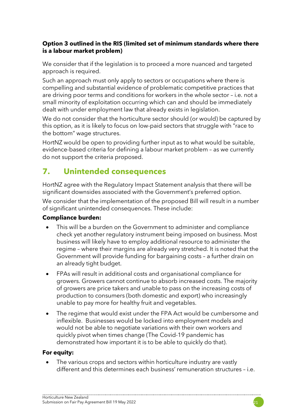#### **Option 3 outlined in the RIS (limited set of minimum standards where there is a labour market problem)**

We consider that if the legislation is to proceed a more nuanced and targeted approach is required.

Such an approach must only apply to sectors or occupations where there is compelling and substantial evidence of problematic competitive practices that are driving poor terms and conditions for workers in the whole sector – i.e. not a small minority of exploitation occurring which can and should be immediately dealt with under employment law that already exists in legislation.

We do not consider that the horticulture sector should (or would) be captured by this option, as it is likely to focus on low-paid sectors that struggle with "race to the bottom" wage structures.

HortNZ would be open to providing further input as to what would be suitable, evidence-based criteria for defining a labour market problem – as we currently do not support the criteria proposed.

## **7. Unintended consequences**

HortNZ agree with the Regulatory Impact Statement analysis that there will be significant downsides associated with the Government's preferred option.

We consider that the implementation of the proposed Bill will result in a number of significant unintended consequences. These include:

#### **Compliance burden:**

- This will be a burden on the Government to administer and compliance check yet another regulatory instrument being imposed on business. Most business will likely have to employ additional resource to administer the regime – where their margins are already very stretched. It is noted that the Government will provide funding for bargaining costs – a further drain on an already tight budget.
- FPAs will result in additional costs and organisational compliance for growers. Growers cannot continue to absorb increased costs. The majority of growers are price takers and unable to pass on the increasing costs of production to consumers (both domestic and export) who increasingly unable to pay more for healthy fruit and vegetables.
- The regime that would exist under the FPA Act would be cumbersome and inflexible. Businesses would be locked into employment models and would not be able to negotiate variations with their own workers and quickly pivot when times change (The Covid-19 pandemic has demonstrated how important it is to be able to quickly do that).

#### **For equity:**

The various crops and sectors within horticulture industry are vastly different and this determines each business' remuneration structures – i.e.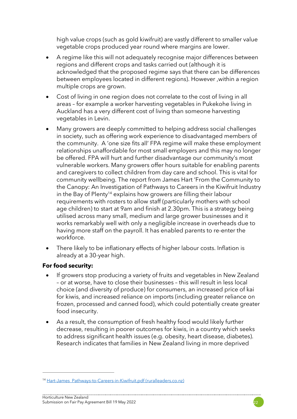high value crops (such as gold kiwifruit) are vastly different to smaller value vegetable crops produced year round where margins are lower.

- A regime like this will not adequately recognise major differences between regions and different crops and tasks carried out (although it is acknowledged that the proposed regime says that there can be differences between employees located in different regions). However ,within a region multiple crops are grown.
- Cost of living in one region does not correlate to the cost of living in all areas – for example a worker harvesting vegetables in Pukekohe living in Auckland has a very different cost of living than someone harvesting vegetables in Levin.
- Many growers are deeply committed to helping address social challenges in society, such as offering work experience to disadvantaged members of the community. A 'one size fits all' FPA regime will make these employment relationships unaffordable for most small employers and this may no longer be offered. FPA will hurt and further disadvantage our community's most vulnerable workers. Many growers offer hours suitable for enabling parents and caregivers to collect children from day care and school. This is vital for community wellbeing. The report from James Hart 'From the Community to the Canopy: An Investigation of Pathways to Careers in the Kiwifruit Industry in the Bay of Plenty<sup>14</sup> explains how growers are filling their labour requirements with rosters to allow staff (particularly mothers with school age children) to start at 9am and finish at 2.30pm. This is a strategy being utilised across many small, medium and large grower businesses and it works remarkably well with only a negligible increase in overheads due to having more staff on the payroll. It has enabled parents to re-enter the workforce.
- There likely to be inflationary effects of higher labour costs. Inflation is already at a 30-year high.

#### **For food security:**

- If growers stop producing a variety of fruits and vegetables in New Zealand – or at worse, have to close their businesses – this will result in less local choice (and diversity of produce) for consumers, an increased price of kai for kiwis, and increased reliance on imports (including greater reliance on frozen, processed and canned food), which could potentially create greater food insecurity.
- As a result, the consumption of fresh healthy food would likely further decrease, resulting in poorer outcomes for kiwis, in a country which seeks to address significant health issues (e.g. obesity, heart disease, diabetes). Research indicates that families in New Zealand living in more deprived

<sup>&</sup>lt;sup>14</sup> Hart-James Pathways-to-Careers-in-Kiwifruit.pdf (ruralleaders.co.nz)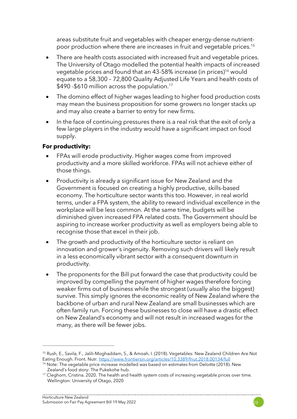areas substitute fruit and vegetables with cheaper energy-dense nutrientpoor production where there are increases in fruit and vegetable prices.<sup>15</sup>

- There are health costs associated with increased fruit and vegetable prices. The University of Otago modelled the potential health impacts of increased vegetable prices and found that an 43-58% increase (in prices)<sup>16</sup> would equate to a 58,300 – 72,800 Quality Adjusted Life Years and health costs of \$490 -\$610 million across the population.<sup>17</sup>
- The domino effect of higher wages leading to higher food production costs may mean the business proposition for some growers no longer stacks up and may also create a barrier to entry for new firms.
- In the face of continuing pressures there is a real risk that the exit of only a few large players in the industry would have a significant impact on food supply.

#### **For productivity:**

- FPAs will erode productivity. Higher wages come from improved productivity and a more skilled workforce. FPAs will not achieve either of those things.
- Productivity is already a significant issue for New Zealand and the Government is focused on creating a highly productive, skills-based economy. The horticulture sector wants this too. However, in real world terms, under a FPA system, the ability to reward individual excellence in the workplace will be less common. At the same time, budgets will be diminished given increased FPA related costs. The Government should be aspiring to increase worker productivity as well as employers being able to recognise those that excel in their job.
- The growth and productivity of the horticulture sector is reliant on innovation and grower's ingenuity. Removing such drivers will likely result in a less economically vibrant sector with a consequent downturn in productivity.
- The proponents for the Bill put forward the case that productivity could be improved by compelling the payment of higher wages therefore forcing weaker firms out of business while the strongest (usually also the biggest) survive. This simply ignores the economic reality of New Zealand where the backbone of urban and rural New Zealand are small businesses which are often family run. Forcing these businesses to close will have a drastic effect on New Zealand's economy and will not result in increased wages for the many, as there will be fewer jobs.

<sup>15</sup> Rush, E., Savila, F., Jalili-Moghaddam, S., & Amoah, I. (2018). Vegetables: New Zealand Children Are Not Eating Enough. Front. Nutr.<https://www.frontiersin.org/articles/10.3389/fnut.2018.00134/full>

<sup>&</sup>lt;sup>16</sup> Note: The vegetable price increase modelled was based on estimates from Deloitte (2018). New Zealand's food story: The Pukekohe hub.

<sup>&</sup>lt;sup>17</sup> Cleghorn, Cristina. 2020. The health and health system costs of increasing vegetable prices over time. Wellington: University of Otago, 2020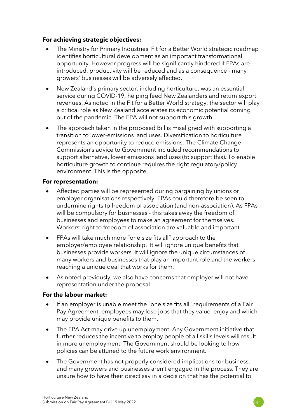#### **For achieving strategic objectives:**

- The Ministry for Primary Industries' Fit for a Better World strategic roadmap identifies horticultural development as an important transformational opportunity. However progress will be significantly hindered if FPAs are introduced, productivity will be reduced and as a consequence - many growers' businesses will be adversely affected.
- New Zealand's primary sector, including horticulture, was an essential service during COVID-19, helping feed New Zealanders and return export revenues. As noted in the Fit for a Better World strategy, the sector will play a critical role as New Zealand accelerates its economic potential coming out of the pandemic. The FPA will not support this growth.
- The approach taken in the proposed Bill is misaligned with supporting a transition to lower-emissions land uses. Diversification to horticulture represents an opportunity to reduce emissions. The Climate Change Commission's advice to Government included recommendations to support alternative, lower emissions land uses (to support this). To enable horticulture growth to continue requires the right regulatory/policy environment. This is the opposite.

#### **For representation:**

- Affected parties will be represented during bargaining by unions or employer organisations respectively. FPAs could therefore be seen to undermine rights to freedom of association (and non-association). As FPAs will be compulsory for businesses - this takes away the freedom of businesses and employees to make an agreement for themselves. Workers' right to freedom of association are valuable and important.
- FPAs will take much more "one size fits all" approach to the employer/employee relationship. It will ignore unique benefits that businesses provide workers. It will ignore the unique circumstances of many workers and businesses that play an important role and the workers reaching a unique deal that works for them.
- As noted previously, we also have concerns that employer will not have representation under the proposal.

#### **For the labour market:**

- If an employer is unable meet the "one size fits all" requirements of a Fair Pay Agreement, employees may lose jobs that they value, enjoy and which may provide unique benefits to them.
- The FPA Act may drive up unemployment. Any Government initiative that further reduces the incentive to employ people of all skills levels will result in more unemployment. The Government should be looking to how policies can be attuned to the future work environment.
- The Government has not properly considered implications for business, and many growers and businesses aren't engaged in the process. They are unsure how to have their direct say in a decision that has the potential to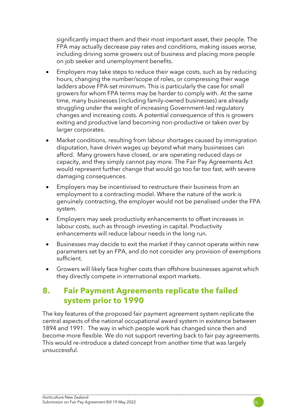significantly impact them and their most important asset, their people. The FPA may actually decrease pay rates and conditions, making issues worse, including driving some growers out of business and placing more people on job seeker and unemployment benefits.

- Employers may take steps to reduce their wage costs, such as by reducing hours, changing the number/scope of roles, or compressing their wage ladders above FPA-set minimum. This is particularly the case for small growers for whom FPA terms may be harder to comply with. At the same time, many businesses (including family-owned businesses) are already struggling under the weight of increasing Government-led regulatory changes and increasing costs. A potential consequence of this is growers exiting and productive land becoming non-productive or taken over by larger corporates.
- Market conditions, resulting from labour shortages caused by immigration disputation, have driven wages up beyond what many businesses can afford. Many growers have closed, or are operating reduced days or capacity, and they simply cannot pay more. The Fair Pay Agreements Act would represent further change that would go too far too fast, with severe damaging consequences.
- Employers may be incentivised to restructure their business from an employment to a contracting model. Where the nature of the work is genuinely contracting, the employer would not be penalised under the FPA system.
- Employers may seek productivity enhancements to offset increases in labour costs, such as through investing in capital. Productivity enhancements will reduce labour needs in the long run.
- Businesses may decide to exit the market if they cannot operate within new parameters set by an FPA, and do not consider any provision of exemptions sufficient.
- Growers will likely face higher costs than offshore businesses against which they directly compete in international export markets.

## **8. Fair Payment Agreements replicate the failed system prior to 1990**

The key features of the proposed fair payment agreement system replicate the central aspects of the national occupational award system in existence between 1894 and 1991. The way in which people work has changed since then and become more flexible. We do not support reverting back to fair pay agreements. This would re-introduce a dated concept from another time that was largely unsuccessful.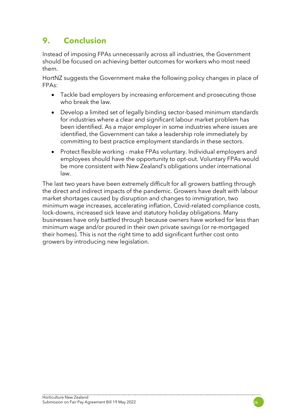## **9. Conclusion**

Instead of imposing FPAs unnecessarily across all industries, the Government should be focused on achieving better outcomes for workers who most need them.

HortNZ suggests the Government make the following policy changes in place of FPAs:

- Tackle bad employers by increasing enforcement and prosecuting those who break the law.
- Develop a limited set of legally binding sector-based minimum standards for industries where a clear and significant labour market problem has been identified. As a major employer in some industries where issues are identified, the Government can take a leadership role immediately by committing to best practice employment standards in these sectors.
- Protect flexible working make FPAs voluntary. Individual employers and employees should have the opportunity to opt-out. Voluntary FPAs would be more consistent with New Zealand's obligations under international law.

The last two years have been extremely difficult for all growers battling through the direct and indirect impacts of the pandemic. Growers have dealt with labour market shortages caused by disruption and changes to immigration, two minimum wage increases, accelerating inflation, Covid-related compliance costs, lock-downs, increased sick leave and statutory holiday obligations. Many businesses have only battled through because owners have worked for less than minimum wage and/or poured in their own private savings (or re-mortgaged their homes). This is not the right time to add significant further cost onto growers by introducing new legislation.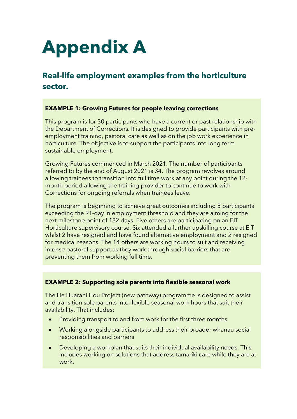# **Appendix A**

## **Real-life employment examples from the horticulture sector.**

#### **EXAMPLE 1: Growing Futures for people leaving corrections**

This program is for 30 participants who have a current or past relationship with the Department of Corrections. It is designed to provide participants with preemployment training, pastoral care as well as on the job work experience in horticulture. The objective is to support the participants into long term sustainable employment.

Growing Futures commenced in March 2021. The number of participants referred to by the end of August 2021 is 34. The program revolves around allowing trainees to transition into full time work at any point during the 12 month period allowing the training provider to continue to work with Corrections for ongoing referrals when trainees leave.

The program is beginning to achieve great outcomes including 5 participants exceeding the 91-day in employment threshold and they are aiming for the next milestone point of 182 days. Five others are participating on an EIT Horticulture supervisory course. Six attended a further upskilling course at EIT whilst 2 have resigned and have found alternative employment and 2 resigned for medical reasons. The 14 others are working hours to suit and receiving intense pastoral support as they work through social barriers that are preventing them from working full time.

#### **EXAMPLE 2: Supporting sole parents into flexible seasonal work**

The He Huarahi Hou Project (new pathway) programme is designed to assist and transition sole parents into flexible seasonal work hours that suit their availability. That includes:

- Providing transport to and from work for the first three months
- Working alongside participants to address their broader whanau social responsibilities and barriers
- Developing a workplan that suits their individual availability needs. This includes working on solutions that address tamariki care while they are at work.